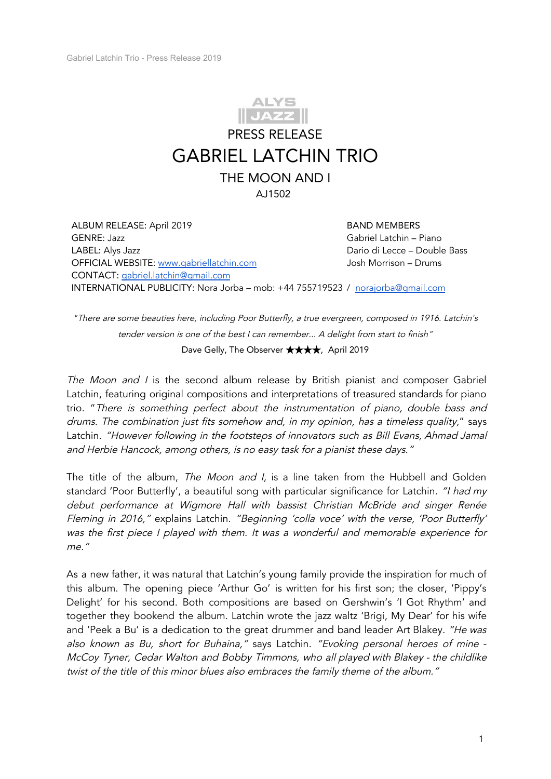

ALBUM RELEASE: April 2019 GENRE: Jazz LABEL: Alys Jazz OFFICIAL WEBSITE: [www.gabriellatchin.com](http://www.gabriellatchin.com/) CONTACT: [gabriel.latchin@gmail.com](mailto:gabriel.latchin@gmail.com) INTERNATIONAL PUBLICITY: Nora Jorba – mob: +44 755719523 / [norajorba@gmail.com](mailto:norajorba@gmail.com) BAND MEMBERS Gabriel Latchin – Piano Dario di Lecce – Double Bass Josh Morrison – Drums

"There are some beauties here, including Poor Butterfly, <sup>a</sup> true evergreen, composed in 1916. Latchin's tender version is one of the best I can remember... A delight from start to finish" Dave Gelly, The Observer ★★★★, April 2019

The Moon and I is the second album release by British pianist and composer Gabriel Latchin, featuring original compositions and interpretations of treasured standards for piano trio. "There is something perfect about the instrumentation of piano, double bass and drums. The combination just fits somehow and, in my opinion, has <sup>a</sup> timeless quality," says Latchin. "However following in the footsteps of innovators such as Bill Evans, Ahmad Jamal and Herbie Hancock, among others, is no easy task for <sup>a</sup> pianist these days."

The title of the album, The Moon and I, is a line taken from the Hubbell and Golden standard 'Poor Butterfly', a beautiful song with particular significance for Latchin. "I had my debut performance at Wigmore Hall with bassist Christian McBride and singer Renée Fleming in 2016," explains Latchin. "Beginning 'colla voce' with the verse, 'Poor Butterfly' was the first piece <sup>I</sup> played with them. It was <sup>a</sup> wonderful and memorable experience for me."

As a new father, it was natural that Latchin's young family provide the inspiration for much of this album. The opening piece 'Arthur Go' is written for his first son; the closer, 'Pippy's Delight' for his second. Both compositions are based on Gershwin's 'I Got Rhythm' and together they bookend the album. Latchin wrote the jazz waltz 'Brigi, My Dear' for his wife and 'Peek a Bu' is a dedication to the great drummer and band leader Art Blakey. "He was also known as Bu, short for Buhaina," says Latchin. "Evoking personal heroes of mine - McCoy Tyner, Cedar Walton and Bobby Timmons, who all played with Blakey - the childlike twist of the title of this minor blues also embraces the family theme of the album."